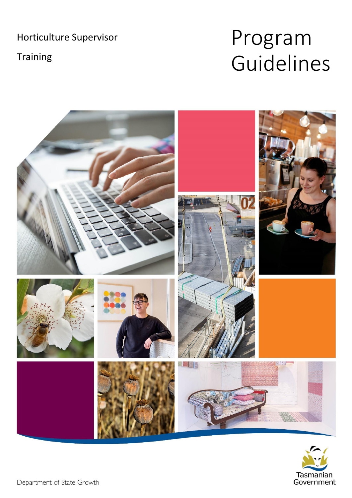Horticulture Supervisor

Training

# Program Guidelines



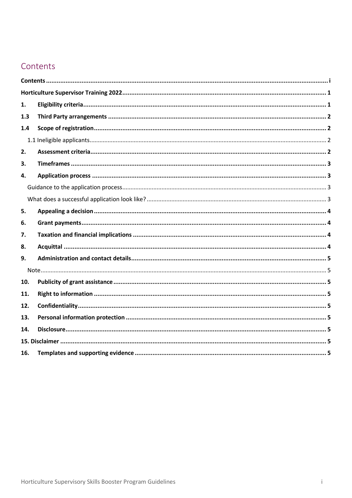# <span id="page-1-0"></span>Contents

| 1.  |  |  |  |  |  |
|-----|--|--|--|--|--|
| 1.3 |  |  |  |  |  |
| 1.4 |  |  |  |  |  |
|     |  |  |  |  |  |
| 2.  |  |  |  |  |  |
| З.  |  |  |  |  |  |
| 4.  |  |  |  |  |  |
|     |  |  |  |  |  |
|     |  |  |  |  |  |
| 5.  |  |  |  |  |  |
| 6.  |  |  |  |  |  |
| 7.  |  |  |  |  |  |
| 8.  |  |  |  |  |  |
| 9.  |  |  |  |  |  |
|     |  |  |  |  |  |
| 10. |  |  |  |  |  |
| 11. |  |  |  |  |  |
| 12. |  |  |  |  |  |
| 13. |  |  |  |  |  |
| 14. |  |  |  |  |  |
|     |  |  |  |  |  |
| 16. |  |  |  |  |  |
|     |  |  |  |  |  |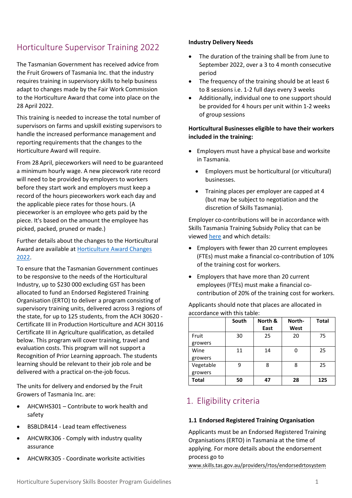# <span id="page-2-0"></span>Horticulture Supervisor Training 2022

The Tasmanian Government has received advice from the Fruit Growers of Tasmania Inc. that the industry requires training in supervisory skills to help business adapt to changes made by the Fair Work Commission to the Horticulture Award that come into place on the 28 April 2022.

This training is needed to increase the total number of supervisors on farms and upskill existing supervisors to handle the increased performance management and reporting requirements that the changes to the Horticulture Award will require.

From 28 April, pieceworkers will need to be guaranteed a minimum hourly wage. A new piecework rate record will need to be provided by employers to workers before they start work and employers must keep a record of the hours pieceworkers work each day and the applicable piece rates for those hours. (A pieceworker is an employee who gets paid by the piece. It's based on the amount the employee has picked, packed, pruned or made.)

Further details about the changes to the Horticultural Award are available a[t Horticulture Award Changes](https://www.fruitgrowerstas.org.au/hort-award-changes-2022/)  [2022.](https://www.fruitgrowerstas.org.au/hort-award-changes-2022/)

To ensure that the Tasmanian Government continues to be responsive to the needs of the Horticultural Industry, up to \$230 000 excluding GST has been allocated to fund an Endorsed Registered Training Organisation (ERTO) to deliver a program consisting of supervisory training units, delivered across 3 regions of the state, for up to 125 students, from the ACH 30620 - Certificate III in Production Horticulture and ACH 30116 Certificate III in Agriculture qualification, as detailed below. This program will cover training, travel and evaluation costs. This program will not support a Recognition of Prior Learning approach. The students learning should be relevant to their job role and be delivered with a practical on-the-job focus.

The units for delivery and endorsed by the Fruit Growers of Tasmania Inc. are:

- AHCWHS301 Contribute to work health and safety
- BSBLDR414 Lead team effectiveness
- AHCWRK306 Comply with industry quality assurance
- AHCWRK305 Coordinate worksite activities

#### **Industry Delivery Needs**

- The duration of the training shall be from June to September 2022, over a 3 to 4 month consecutive period
- The frequency of the training should be at least 6 to 8 sessions i.e. 1-2 full days every 3 weeks
- Additionally, individual one to one support should be provided for 4 hours per unit within 1-2 weeks of group sessions

#### **Horticultural Businesses eligible to have their workers included in the training:**

- Employers must have a physical base and worksite in Tasmania.
	- Employers must be horticultural (or viticultural) businesses.
	- Training places per employer are capped at 4 (but may be subject to negotiation and the discretion of Skills Tasmania).

Employer co-contributions will be in accordance with Skills Tasmania Training Subsidy Policy that can be viewe[d here](https://www.skills.tas.gov.au/__data/assets/pdf_file/0006/343716/Skills_Tasmania_Policy_Statement_-_Tasmanian_Training_Subsidy_Policy.pdf) and which details:

- Employers with fewer than 20 current employees (FTEs) must make a financial co-contribution of 10% of the training cost for workers.
- Employers that have more than 20 current employees (FTEs) must make a financial cocontribution of 20% of the training cost for workers.

|              | South | North & | North- | <b>Total</b> |
|--------------|-------|---------|--------|--------------|
|              |       | East    | West   |              |
| Fruit        | 30    | 25      | 20     | 75           |
| growers      |       |         |        |              |
| Wine         | 11    | 14      | 0      | 25           |
| growers      |       |         |        |              |
| Vegetable    | 9     | 8       | 8      | 25           |
| growers      |       |         |        |              |
| <b>Total</b> | 50    | 47      | 28     | 125          |

Applicants should note that places are allocated in accordance with this table:

## <span id="page-2-1"></span>1. Eligibility criteria

#### **1.1 Endorsed Registered Training Organisation**

Applicants must be an Endorsed Registered Training Organisations (ERTO) in Tasmania at the time of applying. For more details about the endorsement process go to

www.skills.tas.gov.au/providers/rtos/endorsedrtosystem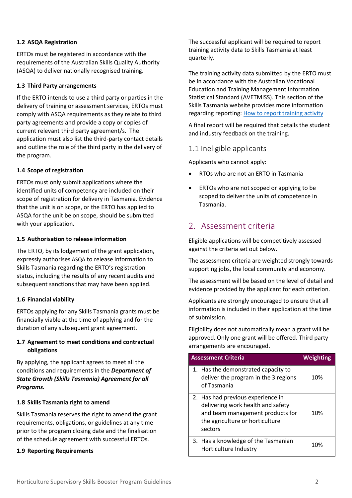#### **1.2 ASQA Registration**

ERTOs must be registered in accordance with the requirements of the Australian Skills Quality Authority (ASQA) to deliver nationally recognised training.

#### <span id="page-3-0"></span>**1.3 Third Party arrangements**

If the ERTO intends to use a third party or parties in the delivery of training or assessment services, ERTOs must comply wit[h ASQA requirements](https://aus01.safelinks.protection.outlook.com/?url=https%3A%2F%2Fwww.asqa.gov.au%2Fnews-publications%2Fpublications%2Fgeneral-directions%2Fthird-party-arrangements-training-andor-assessment-vet-courses&data=04%7C01%7CAndrew.Harris%40skills.tas.gov.au%7Cd0b7b604681347fa610a08d9605721f4%7C64ebab8accf44b5ca2d32b4e972d96b2%7C0%7C0%7C637646749606781026%7CUnknown%7CTWFpbGZsb3d8eyJWIjoiMC4wLjAwMDAiLCJQIjoiV2luMzIiLCJBTiI6Ik1haWwiLCJXVCI6Mn0%3D%7C1000&sdata=QMOU%2Bn1gsyrq9u%2FkG1N%2BiqKpin6MRb%2Bx%2Bziaqe5UGKk%3D&reserved=0) as they relate to third party agreements and provide a copy or copies of current relevant third party agreement/s. The application must also list the third-party contact details and outline the role of the third party in the delivery of the program.

#### <span id="page-3-1"></span>**1.4 Scope of registration**

ERTOs must only submit applications where the identified units of competency are included on their scope of registration for delivery in Tasmania. Evidence that the unit is on scope, or the ERTO has applied to ASQA for the unit be on scope, should be submitted with your application.

#### **1.5 Authorisation to release information**

The ERTO, by its lodgement of the grant application, expressly authorises [ASQA](https://aus01.safelinks.protection.outlook.com/?url=https%3A%2F%2Fwww.asqa.gov.au%2F&data=04%7C01%7CAndrew.Harris%40skills.tas.gov.au%7Cd0b7b604681347fa610a08d9605721f4%7C64ebab8accf44b5ca2d32b4e972d96b2%7C0%7C0%7C637646749606781026%7CUnknown%7CTWFpbGZsb3d8eyJWIjoiMC4wLjAwMDAiLCJQIjoiV2luMzIiLCJBTiI6Ik1haWwiLCJXVCI6Mn0%3D%7C1000&sdata=q34mKe5Lgcz545YwuSVYgHtbE2n3JNc4VYj%2FqEJdAVg%3D&reserved=0) to release information to Skills Tasmania regarding the ERTO's registration status, including the results of any recent audits and subsequent sanctions that may have been applied.

#### **1.6 Financial viability**

ERTOs applying for any Skills Tasmania grants must be financially viable at the time of applying and for the duration of any subsequent grant agreement.

#### **1.7 Agreement to meet conditions and contractual obligations**

By applying, the applicant agrees to meet all the conditions and requirements in the *Department of State Growth (Skills Tasmania) Agreement for all Programs.*

#### **1.8 Skills Tasmania right to amend**

Skills Tasmania reserves the right to amend the grant requirements, obligations, or guidelines at any time prior to the program closing date and the finalisation of the schedule agreement with successful ERTOs.

#### **1.9 Reporting Requirements**

The successful applicant will be required to report training activity data to Skills Tasmania at least quarterly.

The training activity data submitted by the ERTO must be in accordance with the Australian Vocational Education and Training Management Information Statistical Standard (AVETMISS). This section of the Skills Tasmania website provides more information regarding reporting[: How to report training activity](https://www.skills.tas.gov.au/providers/rto/how_do_i_report_my_activity)

A final report will be required that details the student and industry feedback on the training.

#### <span id="page-3-2"></span>1.1 Ineligible applicants

Applicants who cannot apply:

- RTOs who are not an ERTO in Tasmania
- ERTOs who are not scoped or applying to be scoped to deliver the units of competence in Tasmania.

#### <span id="page-3-3"></span>2. Assessment criteria

Eligible applications will be competitively assessed against the criteria set out below.

The assessment criteria are weighted strongly towards supporting jobs, the local community and economy.

The assessment will be based on the level of detail and evidence provided by the applicant for each criterion.

Applicants are strongly encouraged to ensure that all information is included in their application at the time of submission.

Eligibility does not automatically mean a grant will be approved. Only one grant will be offered. Third party arrangements are encouraged.

| <b>Assessment Criteria</b>                                                                                                                               | <b>Weighting</b> |
|----------------------------------------------------------------------------------------------------------------------------------------------------------|------------------|
| 1. Has the demonstrated capacity to<br>deliver the program in the 3 regions<br>of Tasmania                                                               | 10%              |
| 2. Has had previous experience in<br>delivering work health and safety<br>and team management products for<br>the agriculture or horticulture<br>sectors | 10%              |
| 3. Has a knowledge of the Tasmanian<br>Horticulture Industry                                                                                             | 1በ%              |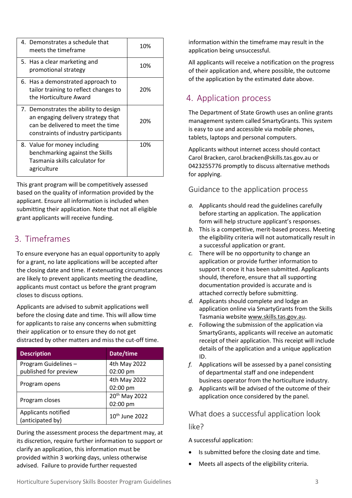| 4. Demonstrates a schedule that<br>meets the timeframe                                                                                                   | 10% |
|----------------------------------------------------------------------------------------------------------------------------------------------------------|-----|
| 5. Has a clear marketing and<br>promotional strategy                                                                                                     | 10% |
| 6. Has a demonstrated approach to<br>tailor training to reflect changes to<br>the Horticulture Award                                                     | 20% |
| 7. Demonstrates the ability to design<br>an engaging delivery strategy that<br>can be delivered to meet the time<br>constraints of industry participants | 20% |
| 8. Value for money including<br>benchmarking against the Skills<br>Tasmania skills calculator for<br>agriculture                                         | 10% |

This grant program will be competitively assessed based on the quality of information provided by the applicant. Ensure all information is included when submitting their application. Note that not all eligible grant applicants will receive funding.

## <span id="page-4-0"></span>3. Timeframes

To ensure everyone has an equal opportunity to apply for a grant, no late applications will be accepted after the closing date and time. If extenuating circumstances are likely to prevent applicants meeting the deadline, applicants must contact us before the grant program closes to discuss options.

Applicants are advised to submit applications well before the closing date and time. This will allow time for applicants to raise any concerns when submitting their application or to ensure they do not get distracted by other matters and miss the cut-off time.

| <b>Description</b>    | Date/time                  |  |
|-----------------------|----------------------------|--|
| Program Guidelines -  | 4th May 2022               |  |
| published for preview | 02:00 pm                   |  |
|                       | 4th May 2022               |  |
| Program opens         | 02:00 pm                   |  |
|                       | 20 <sup>th</sup> May 2022  |  |
| Program closes        | 02:00 pm                   |  |
| Applicants notified   | 10 <sup>th</sup> June 2022 |  |
| (anticipated by)      |                            |  |

During the assessment process the department may, at its discretion, require further information to support or clarify an application, this information must be provided within 3 working days, unless otherwise advised. Failure to provide further requested

information within the timeframe may result in the application being unsuccessful.

All applicants will receive a notification on the progress of their application and, where possible, the outcome of the application by the estimated date above.

## <span id="page-4-1"></span>4. Application process

The Department of State Growth uses an online grants management system called SmartyGrants. This system is easy to use and accessible via mobile phones, tablets, laptops and personal computers.

Applicants without internet access should contact Carol Bracken, carol.bracken@skills.tas.gov.au or 0423255776 promptly to discuss alternative methods for applying.

#### <span id="page-4-2"></span>Guidance to the application process

- *a.* Applicants should read the guidelines carefully before starting an application. The application form will help structure applicant's responses.
- *b.* This is a competitive, merit-based process. Meeting the eligibility criteria will not automatically result in a successful application or grant.
- *c.* There will be no opportunity to change an application or provide further information to support it once it has been submitted. Applicants should, therefore, ensure that all supporting documentation provided is accurate and is attached correctly before submitting.
- *d.* Applicants should complete and lodge an application online via SmartyGrants from the Skills Tasmania websit[e www.skills.tas.gov.au.](http://www.skills.tas.gov.au/)
- *e.* Following the submission of the application via SmartyGrants, applicants will receive an automatic receipt of their application. This receipt will include details of the application and a unique application ID.
- *f.* Applications will be assessed by a panel consisting of departmental staff and one independent business operator from the horticulture industry.
- *g.* Applicants will be advised of the outcome of their application once considered by the panel.

<span id="page-4-3"></span>What does a successful application look

like?

A successful application:

- Is submitted before the closing date and time.
- Meets all aspects of the eligibility criteria.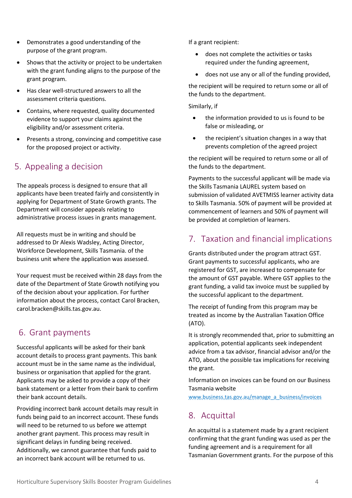- Demonstrates a good understanding of the purpose of the grant program.
- Shows that the activity or project to be undertaken with the grant funding aligns to the purpose of the grant program.
- Has clear well-structured answers to all the assessment criteria questions.
- Contains, where requested, quality documented evidence to support your claims against the eligibility and/or assessment criteria.
- Presents a strong, convincing and competitive case for the proposed project or activity.

## <span id="page-5-0"></span>5. Appealing a decision

The appeals process is designed to ensure that all applicants have been treated fairly and consistently in applying for Department of State Growth grants. The Department will consider appeals relating to administrative process issues in grants management.

All requests must be in writing and should be addressed to Dr Alexis Wadsley, Acting Director, Workforce Development, Skills Tasmania. of the business unit where the application was assessed.

Your request must be received within 28 days from the date of the Department of State Growth notifying you of the decision about your application. For further information about the process, contact Carol Bracken, carol.bracken@skills.tas.gov.au.

### <span id="page-5-1"></span>6. Grant payments

Successful applicants will be asked for their bank account details to process grant payments. This bank account must be in the same name as the individual, business or organisation that applied for the grant. Applicants may be asked to provide a copy of their bank statement or a letter from their bank to confirm their bank account details.

Providing incorrect bank account details may result in funds being paid to an incorrect account. These funds will need to be returned to us before we attempt another grant payment. This process may result in significant delays in funding being received. Additionally, we cannot guarantee that funds paid to an incorrect bank account will be returned to us.

If a grant recipient:

- does not complete the activities or tasks required under the funding agreement,
- does not use any or all of the funding provided,

the recipient will be required to return some or all of the funds to the department.

Similarly, if

- the information provided to us is found to be false or misleading, or
- the recipient's situation changes in a way that prevents completion of the agreed project

the recipient will be required to return some or all of the funds to the department.

Payments to the successful applicant will be made via the Skills Tasmania LAUREL system based on submission of validated AVETMISS learner activity data to Skills Tasmania. 50% of payment will be provided at commencement of learners and 50% of payment will be provided at completion of learners.

## <span id="page-5-2"></span>7. Taxation and financial implications

Grants distributed under the program attract GST. Grant payments to successful applicants, who are registered for GST, are increased to compensate for the amount of GST payable. Where GST applies to the grant funding, a valid tax invoice must be supplied by the successful applicant to the department.

The receipt of funding from this program may be treated as income by the Australian Taxation Office (ATO).

It is strongly recommended that, prior to submitting an application, potential applicants seek independent advice from a tax advisor, financial advisor and/or the ATO, about the possible tax implications for receiving the grant.

Information on invoices can be found on our Business Tasmania website

www.business.tas.gov.au/manage\_a\_business/invoices

## <span id="page-5-3"></span>8. Acquittal

An acquittal is a statement made by a grant recipient confirming that the grant funding was used as per the funding agreement and is a requirement for all Tasmanian Government grants. For the purpose of this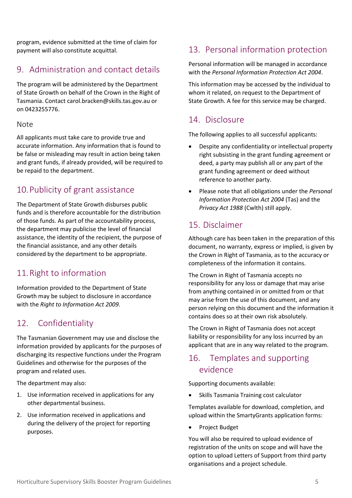program, evidence submitted at the time of claim for payment will also constitute acquittal.

## <span id="page-6-0"></span>9. Administration and contact details

The program will be administered by the Department of State Growth on behalf of the Crown in the Right of Tasmania. Contact carol.bracken@skills.tas.gov.au or on 0423255776.

#### <span id="page-6-1"></span>Note

All applicants must take care to provide true and accurate information. Any information that is found to be false or misleading may result in action being taken and grant funds, if already provided, will be required to be repaid to the department.

# <span id="page-6-2"></span>10.Publicity of grant assistance

The Department of State Growth disburses public funds and is therefore accountable for the distribution of those funds. As part of the accountability process, the department may publicise the level of financial assistance, the identity of the recipient, the purpose of the financial assistance, and any other details considered by the department to be appropriate.

## <span id="page-6-3"></span>11.Right to information

Information provided to the Department of State Growth may be subject to disclosure in accordance with the *Right to Information Act 2009*.

## <span id="page-6-4"></span>12. Confidentiality

The Tasmanian Government may use and disclose the information provided by applicants for the purposes of discharging its respective functions under the Program Guidelines and otherwise for the purposes of the program and related uses.

The department may also:

- 1. Use information received in applications for any other departmental business.
- 2. Use information received in applications and during the delivery of the project for reporting purposes.

## <span id="page-6-5"></span>13. Personal information protection

Personal information will be managed in accordance with the *Personal Information Protection Act 2004*.

This information may be accessed by the individual to whom it related, on request to the Department of State Growth. A fee for this service may be charged.

## <span id="page-6-6"></span>14. Disclosure

The following applies to all successful applicants:

- Despite any confidentiality or intellectual property right subsisting in the grant funding agreement or deed, a party may publish all or any part of the grant funding agreement or deed without reference to another party.
- Please note that all obligations under the *Personal Information Protection Act 2004* (Tas) and the *Privacy Act 1988* (Cwlth) still apply.

## <span id="page-6-7"></span>15. Disclaimer

Although care has been taken in the preparation of this document, no warranty, express or implied, is given by the Crown in Right of Tasmania, as to the accuracy or completeness of the information it contains.

The Crown in Right of Tasmania accepts no responsibility for any loss or damage that may arise from anything contained in or omitted from or that may arise from the use of this document, and any person relying on this document and the information it contains does so at their own risk absolutely.

The Crown in Right of Tasmania does not accept liability or responsibility for any loss incurred by an applicant that are in any way related to the program.

## <span id="page-6-8"></span>16. Templates and supporting evidence

Supporting documents available:

• Skills Tasmania Training cost calculator

Templates available for download, completion, and upload within the SmartyGrants application forms:

• Project Budget

You will also be required to upload evidence of registration of the units on scope and will have the option to upload Letters of Support from third party organisations and a project schedule.